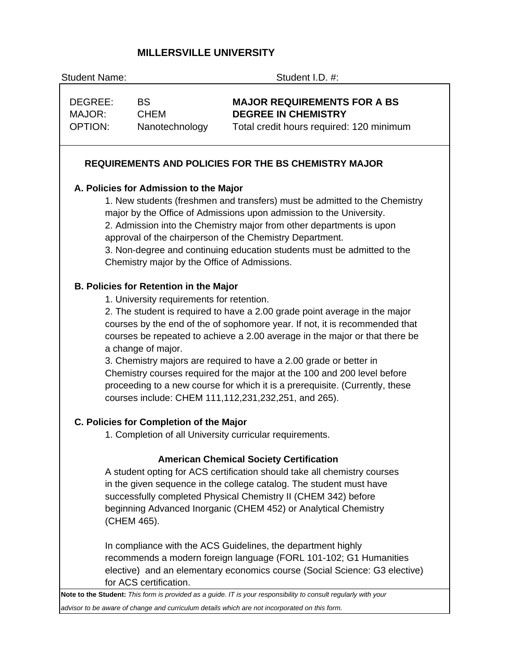# **MILLERSVILLE UNIVERSITY**

Student Name: Student I.D. #: DEGREE: BS **MAJOR REQUIREMENTS FOR A BS**  MAJOR: CHEM **DEGREE IN CHEMISTRY**  OPTION: Nanotechnology Total credit hours required: 120 minimum  **REQUIREMENTS AND POLICIES FOR THE BS CHEMISTRY MAJOR A. Policies for Admission to the Major** 1. New students (freshmen and transfers) must be admitted to the Chemistry major by the Office of Admissions upon admission to the University. 2. Admission into the Chemistry major from other departments is upon approval of the chairperson of the Chemistry Department. 3. Non-degree and continuing education students must be admitted to the Chemistry major by the Office of Admissions. **B. Policies for Retention in the Major** 1. University requirements for retention. 2. The student is required to have a 2.00 grade point average in the major courses by the end of the of sophomore year. If not, it is recommended that courses be repeated to achieve a 2.00 average in the major or that there be a change of major. 3. Chemistry majors are required to have a 2.00 grade or better in Chemistry courses required for the major at the 100 and 200 level before proceeding to a new course for which it is a prerequisite. (Currently, these courses include: CHEM 111,112,231,232,251, and 265). **C. Policies for Completion of the Major** 1. Completion of all University curricular requirements.  **American Chemical Society Certification** A student opting for ACS certification should take all chemistry courses in the given sequence in the college catalog. The student must have successfully completed Physical Chemistry II (CHEM 342) before beginning Advanced Inorganic (CHEM 452) or Analytical Chemistry (CHEM 465). In compliance with the ACS Guidelines, the department highly recommends a modern foreign language (FORL 101-102; G1 Humanities elective) and an elementary economics course (Social Science: G3 elective) for ACS certification. **Note to the Student:** *This form is provided as a guide. IT is your responsibility to consult regularly with your advisor to be aware of change and curriculum details which are not incorporated on this form.*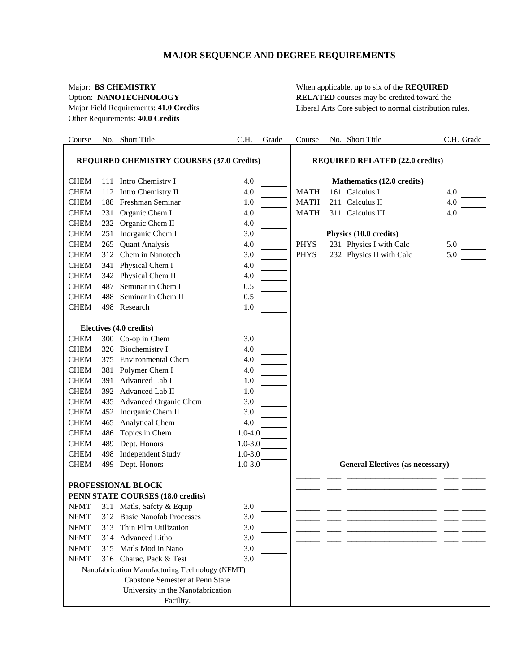## **MAJOR SEQUENCE AND DEGREE REQUIREMENTS**

Other Requirements: **40.0 Credits**

Major: **BS CHEMISTRY** When applicable, up to six of the **REQUIRED** Option: **NANOTECHNOLOGY RELATED** courses may be credited toward the Major Field Requirements: **41.0 Credits** Liberal Arts Core subject to normal distribution rules.

| Course                                                               |     | No. Short Title                                 | C.H.        | Grade | Course                                 | No. Short Title                         | C.H. Grade |  |  |
|----------------------------------------------------------------------|-----|-------------------------------------------------|-------------|-------|----------------------------------------|-----------------------------------------|------------|--|--|
| <b>REQUIRED CHEMISTRY COURSES (37.0 Credits)</b>                     |     |                                                 |             |       | <b>REQUIRED RELATED (22.0 credits)</b> |                                         |            |  |  |
|                                                                      |     |                                                 |             |       |                                        |                                         |            |  |  |
| <b>CHEM</b>                                                          |     | 111 Intro Chemistry I                           | 4.0         |       |                                        | Mathematics (12.0 credits)              |            |  |  |
| <b>CHEM</b>                                                          | 112 | Intro Chemistry II                              | 4.0         |       | <b>MATH</b>                            | 161 Calculus I                          | 4.0        |  |  |
| <b>CHEM</b>                                                          | 188 | Freshman Seminar                                | 1.0         |       | <b>MATH</b>                            | 211 Calculus II                         | 4.0        |  |  |
| <b>CHEM</b>                                                          | 231 | Organic Chem I                                  | 4.0         |       | <b>MATH</b>                            | 311 Calculus III                        | 4.0        |  |  |
| <b>CHEM</b>                                                          |     | 232 Organic Chem II                             | 4.0         |       |                                        |                                         |            |  |  |
| <b>CHEM</b>                                                          |     | 251 Inorganic Chem I                            | 3.0         |       |                                        | Physics (10.0 credits)                  |            |  |  |
| <b>CHEM</b>                                                          | 265 | <b>Quant Analysis</b>                           | 4.0         |       | <b>PHYS</b>                            | 231 Physics I with Calc                 | 5.0        |  |  |
| <b>CHEM</b>                                                          |     | 312 Chem in Nanotech                            | 3.0         |       | <b>PHYS</b>                            | 232 Physics II with Calc                | 5.0        |  |  |
| <b>CHEM</b>                                                          |     | 341 Physical Chem I                             | 4.0         |       |                                        |                                         |            |  |  |
| <b>CHEM</b>                                                          |     | 342 Physical Chem II                            | 4.0         |       |                                        |                                         |            |  |  |
| <b>CHEM</b>                                                          | 487 | Seminar in Chem I                               | 0.5         |       |                                        |                                         |            |  |  |
| <b>CHEM</b>                                                          | 488 | Seminar in Chem II                              | 0.5         |       |                                        |                                         |            |  |  |
| <b>CHEM</b>                                                          |     | 498 Research                                    | 1.0         |       |                                        |                                         |            |  |  |
|                                                                      |     |                                                 |             |       |                                        |                                         |            |  |  |
| <b>CHEM</b>                                                          |     | Electives (4.0 credits)                         |             |       |                                        |                                         |            |  |  |
| <b>CHEM</b>                                                          |     | 300 Co-op in Chem<br>326 Biochemistry I         | 3.0<br>4.0  |       |                                        |                                         |            |  |  |
| <b>CHEM</b>                                                          | 375 | <b>Environmental Chem</b>                       | 4.0         |       |                                        |                                         |            |  |  |
| <b>CHEM</b>                                                          |     | 381 Polymer Chem I                              | 4.0         |       |                                        |                                         |            |  |  |
| <b>CHEM</b>                                                          | 391 | Advanced Lab I                                  | 1.0         |       |                                        |                                         |            |  |  |
| <b>CHEM</b>                                                          |     | 392 Advanced Lab II                             | 1.0         |       |                                        |                                         |            |  |  |
| <b>CHEM</b>                                                          |     | 435 Advanced Organic Chem                       | 3.0         |       |                                        |                                         |            |  |  |
| <b>CHEM</b>                                                          |     | 452 Inorganic Chem II                           | 3.0         |       |                                        |                                         |            |  |  |
| <b>CHEM</b>                                                          | 465 | <b>Analytical Chem</b>                          | 4.0         |       |                                        |                                         |            |  |  |
| <b>CHEM</b>                                                          | 486 | Topics in Chem                                  | $1.0 - 4.0$ |       |                                        |                                         |            |  |  |
| <b>CHEM</b>                                                          | 489 | Dept. Honors                                    | $1.0 - 3.0$ |       |                                        |                                         |            |  |  |
| <b>CHEM</b>                                                          | 498 | <b>Independent Study</b>                        | $1.0 - 3.0$ |       |                                        |                                         |            |  |  |
| <b>CHEM</b>                                                          |     | 499 Dept. Honors                                | $1.0 - 3.0$ |       |                                        | <b>General Electives (as necessary)</b> |            |  |  |
|                                                                      |     |                                                 |             |       |                                        |                                         |            |  |  |
|                                                                      |     | PROFESSIONAL BLOCK                              |             |       |                                        |                                         |            |  |  |
|                                                                      |     | PENN STATE COURSES (18.0 credits)               |             |       |                                        |                                         |            |  |  |
| NFMT                                                                 |     | 311 Matls, Safety & Equip                       | 3.0         |       |                                        |                                         |            |  |  |
| <b>NFMT</b>                                                          |     | 312 Basic Nanofab Processes                     | 3.0         |       |                                        |                                         |            |  |  |
| <b>NFMT</b>                                                          | 313 | Thin Film Utilization                           | 3.0         |       |                                        |                                         |            |  |  |
| <b>NFMT</b>                                                          | 314 | Advanced Litho                                  | 3.0         |       |                                        |                                         |            |  |  |
| <b>NFMT</b>                                                          | 315 | Matls Mod in Nano                               | 3.0         |       |                                        |                                         |            |  |  |
| <b>NFMT</b>                                                          |     | 316 Charac, Pack & Test                         | 3.0         |       |                                        |                                         |            |  |  |
|                                                                      |     | Nanofabrication Manufacturing Technology (NFMT) |             |       |                                        |                                         |            |  |  |
| Capstone Semester at Penn State<br>University in the Nanofabrication |     |                                                 |             |       |                                        |                                         |            |  |  |
|                                                                      |     | Facility.                                       |             |       |                                        |                                         |            |  |  |
|                                                                      |     |                                                 |             |       |                                        |                                         |            |  |  |